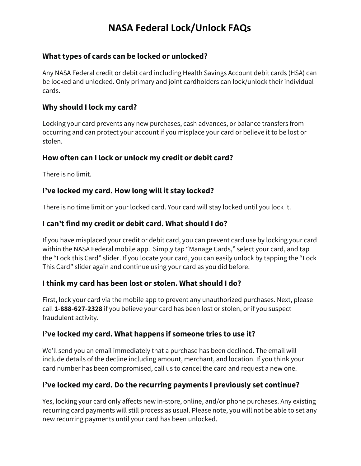# **NASA Federal Lock/Unlock FAQs**

## **What types of cards can be locked or unlocked?**

Any NASA Federal credit or debit card including Health Savings Account debit cards (HSA) can be locked and unlocked. Only primary and joint cardholders can lock/unlock their individual cards.

#### **Why should I lock my card?**

Locking your card prevents any new purchases, cash advances, or balance transfers from occurring and can protect your account if you misplace your card or believe it to be lost or stolen.

# **How often can I lock or unlock my credit or debit card?**

There is no limit.

## **I've locked my card. How long will it stay locked?**

There is no time limit on your locked card. Your card will stay locked until you lock it.

# **I can't find my credit or debit card. What should I do?**

If you have misplaced your credit or debit card, you can prevent card use by locking your card within the NASA Federal mobile app. Simply tap "Manage Cards," select your card, and tap the "Lock this Card" slider. If you locate your card, you can easily unlock by tapping the "Lock This Card" slider again and continue using your card as you did before.

## **I think my card has been lost or stolen. What should I do?**

First, lock your card via the mobile app to prevent any unauthorized purchases. Next, please call **1-888-627-2328** if you believe your card has been lost or stolen, or if you suspect fraudulent activity.

## **I've locked my card. What happens if someone tries to use it?**

We'll send you an email immediately that a purchase has been declined. The email will include details of the decline including amount, merchant, and location. If you think your card number has been compromised, call us to cancel the card and request a new one.

# **I've locked my card. Do the recurring payments I previously set continue?**

Yes, locking your card only affects new in-store, online, and/or phone purchases. Any existing recurring card payments will still process as usual. Please note, you will not be able to set any new recurring payments until your card has been unlocked.